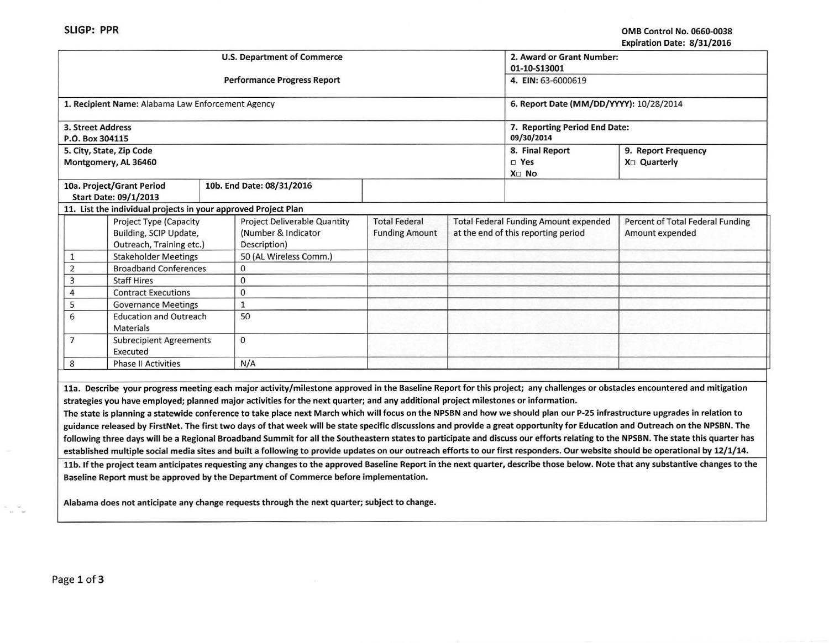|                                                                              |                                                                |  | <b>U.S. Department of Commerce</b>                                                                                                                                                                                                                                                                               | 2. Award or Grant Number:                     |  |                                                                                     |                                                                                                                                                                                                                                                                                                                                                                                                                                                                                                                                                   |  |
|------------------------------------------------------------------------------|----------------------------------------------------------------|--|------------------------------------------------------------------------------------------------------------------------------------------------------------------------------------------------------------------------------------------------------------------------------------------------------------------|-----------------------------------------------|--|-------------------------------------------------------------------------------------|---------------------------------------------------------------------------------------------------------------------------------------------------------------------------------------------------------------------------------------------------------------------------------------------------------------------------------------------------------------------------------------------------------------------------------------------------------------------------------------------------------------------------------------------------|--|
|                                                                              |                                                                |  | <b>Performance Progress Report</b>                                                                                                                                                                                                                                                                               | 01-10-S13001<br>4. EIN: 63-6000619            |  |                                                                                     |                                                                                                                                                                                                                                                                                                                                                                                                                                                                                                                                                   |  |
|                                                                              | 1. Recipient Name: Alabama Law Enforcement Agency              |  |                                                                                                                                                                                                                                                                                                                  | 6. Report Date (MM/DD/YYYY): 10/28/2014       |  |                                                                                     |                                                                                                                                                                                                                                                                                                                                                                                                                                                                                                                                                   |  |
| 3. Street Address<br>P.O. Box 304115                                         |                                                                |  |                                                                                                                                                                                                                                                                                                                  |                                               |  | 7. Reporting Period End Date:<br>09/30/2014                                         |                                                                                                                                                                                                                                                                                                                                                                                                                                                                                                                                                   |  |
|                                                                              | 5. City, State, Zip Code<br>Montgomery, AL 36460               |  |                                                                                                                                                                                                                                                                                                                  |                                               |  | 8. Final Report<br>□ Yes<br>X <sub>D</sub> No                                       | 9. Report Frequency<br>X <sub>D</sub> Quarterly                                                                                                                                                                                                                                                                                                                                                                                                                                                                                                   |  |
|                                                                              | 10a. Project/Grant Period<br><b>Start Date: 09/1/2013</b>      |  | 10b. End Date: 08/31/2016                                                                                                                                                                                                                                                                                        |                                               |  |                                                                                     |                                                                                                                                                                                                                                                                                                                                                                                                                                                                                                                                                   |  |
|                                                                              | 11. List the individual projects in your approved Project Plan |  |                                                                                                                                                                                                                                                                                                                  |                                               |  |                                                                                     |                                                                                                                                                                                                                                                                                                                                                                                                                                                                                                                                                   |  |
| Project Type (Capacity<br>Building, SCIP Update,<br>Outreach, Training etc.) |                                                                |  | Project Deliverable Quantity<br>(Number & Indicator<br>Description)                                                                                                                                                                                                                                              | <b>Total Federal</b><br><b>Funding Amount</b> |  | <b>Total Federal Funding Amount expended</b><br>at the end of this reporting period | Percent of Total Federal Funding<br>Amount expended                                                                                                                                                                                                                                                                                                                                                                                                                                                                                               |  |
| 1                                                                            | <b>Stakeholder Meetings</b>                                    |  | 50 (AL Wireless Comm.)                                                                                                                                                                                                                                                                                           |                                               |  |                                                                                     |                                                                                                                                                                                                                                                                                                                                                                                                                                                                                                                                                   |  |
| $\overline{2}$                                                               | <b>Broadband Conferences</b>                                   |  | $\mathbf 0$                                                                                                                                                                                                                                                                                                      |                                               |  |                                                                                     |                                                                                                                                                                                                                                                                                                                                                                                                                                                                                                                                                   |  |
| 3                                                                            | <b>Staff Hires</b>                                             |  | 0                                                                                                                                                                                                                                                                                                                |                                               |  |                                                                                     |                                                                                                                                                                                                                                                                                                                                                                                                                                                                                                                                                   |  |
| 4                                                                            | <b>Contract Executions</b>                                     |  | $\Omega$                                                                                                                                                                                                                                                                                                         |                                               |  |                                                                                     |                                                                                                                                                                                                                                                                                                                                                                                                                                                                                                                                                   |  |
| 5                                                                            | <b>Governance Meetings</b>                                     |  | $\mathbf{1}$                                                                                                                                                                                                                                                                                                     |                                               |  |                                                                                     |                                                                                                                                                                                                                                                                                                                                                                                                                                                                                                                                                   |  |
| 6<br><b>Education and Outreach</b><br><b>Materials</b>                       |                                                                |  | 50                                                                                                                                                                                                                                                                                                               |                                               |  |                                                                                     |                                                                                                                                                                                                                                                                                                                                                                                                                                                                                                                                                   |  |
| $\overline{7}$<br><b>Subrecipient Agreements</b><br>Executed                 |                                                                |  | $\mathbf 0$                                                                                                                                                                                                                                                                                                      |                                               |  |                                                                                     |                                                                                                                                                                                                                                                                                                                                                                                                                                                                                                                                                   |  |
| 8                                                                            | <b>Phase II Activities</b>                                     |  | N/A                                                                                                                                                                                                                                                                                                              |                                               |  |                                                                                     |                                                                                                                                                                                                                                                                                                                                                                                                                                                                                                                                                   |  |
|                                                                              |                                                                |  |                                                                                                                                                                                                                                                                                                                  |                                               |  |                                                                                     |                                                                                                                                                                                                                                                                                                                                                                                                                                                                                                                                                   |  |
|                                                                              |                                                                |  | strategies you have employed; planned major activities for the next quarter; and any additional project milestones or information.<br>The state is planning a statewide conference to take place next March which will focus on the NPSBN and how we should plan our P-25 infrastructure upgrades in relation to |                                               |  |                                                                                     | 11a. Describe your progress meeting each major activity/milestone approved in the Baseline Report for this project; any challenges or obstacles encountered and mitigation<br>guidance released by FirstNet. The first two days of that week will be state specific discussions and provide a great opportunity for Education and Outreach on the NPSBN. The<br>following three days will be a Regional Broadband Summit for all the Southeastern states to participate and discuss our efforts relating to the NPSBN. The state this quarter has |  |
|                                                                              |                                                                |  |                                                                                                                                                                                                                                                                                                                  |                                               |  |                                                                                     | established multiple social media sites and built a following to provide updates on our outreach efforts to our first responders. Our website should be operational by 12/1/14.                                                                                                                                                                                                                                                                                                                                                                   |  |
|                                                                              |                                                                |  | Baseline Report must be approved by the Department of Commerce before implementation.                                                                                                                                                                                                                            |                                               |  |                                                                                     | 11b. If the project team anticipates requesting any changes to the approved Baseline Report in the next quarter, describe those below. Note that any substantive changes to the                                                                                                                                                                                                                                                                                                                                                                   |  |

Alabama does not anticipate any change requests through the next quarter; subject to change.

 $\left\vert \psi\right\vert$ 

 $\sim$   $\sim$   $\sim$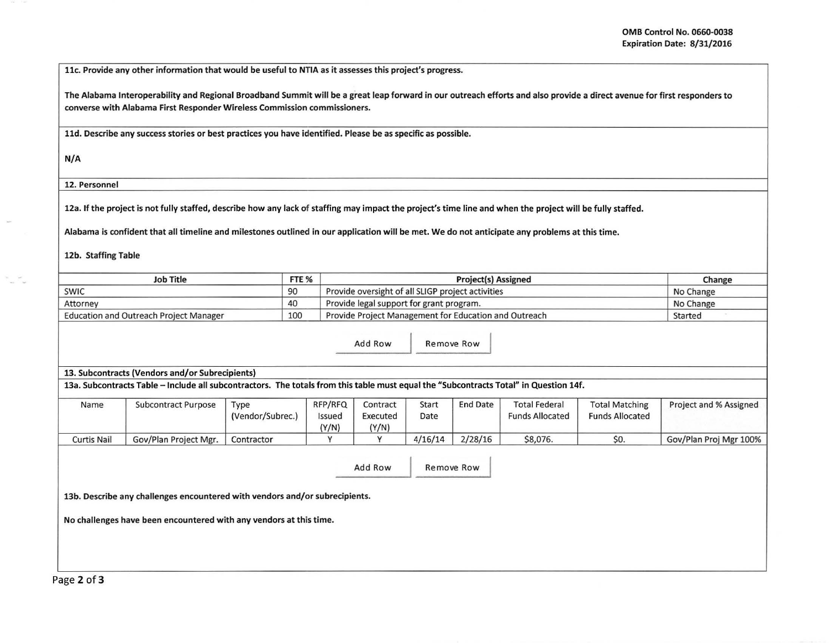llc. Provide any other information that would be useful to NTIA as it assesses this project's progress.

The Alabama lnteroperability and Regional Broadband Summit will be *a* great leap forward in our outreach efforts and also provide *a* direct avenue for first responders to converse with Alabama First Responder Wireless Commission commissioners.

lld. Describe any success stories or best practices you have identified. Please be as specific as possible.

N/A

12. Personnel

12a. If the project is not fully staffed, describe how any lack of staffing may impact the project's time line and when the project will be fully staffed.

Alabama is confident that all timeline and milestones outlined in our application will be met. We do not anticipate any problems at this time.

12b. Staffing Table

| <b>Job Title</b>                       | FTE <sub>%</sub> | <b>Project(s) Assigned</b>                            | Change    |  |
|----------------------------------------|------------------|-------------------------------------------------------|-----------|--|
| <b>SWIC</b>                            | 90               | Provide oversight of all SLIGP project activities     | No Change |  |
| Attorney                               | 40               | Provide legal support for grant program.              | No Change |  |
| Education and Outreach Project Manager | 100              | Provide Project Management for Education and Outreach | Started   |  |

Add Row Remove Row

13. Subcontracts (Vendors and/or Subrecipients)

13a. Subcontracts Table- Include all subcontractors. The totals from this table must equal the "Subcontracts Total" in Question 14f.

| Name               | Subcontract Purpose   | Type<br>(Vendor/Subrec.) | RFP/RFQ<br>Issued<br>(Y/N) | Contract<br>Executed<br>(Y/N) | Start<br>Date | <b>End Date</b> | <b>Total Federal</b><br><b>Funds Allocated</b> | <b>Total Matching</b><br><b>Funds Allocated</b> | Project and % Assigned |
|--------------------|-----------------------|--------------------------|----------------------------|-------------------------------|---------------|-----------------|------------------------------------------------|-------------------------------------------------|------------------------|
| <b>Curtis Nail</b> | Gov/Plan Project Mgr. | Contractor               |                            |                               | 4/16/14       | 2/28/16         | \$8,076.                                       | \$0.                                            | Gov/Plan Proj Mgr 100% |

Add Row Remove Row

13b. Describe any challenges encountered with vendors and/or subrecipients.

No challenges have been encountered with any vendors at this time.